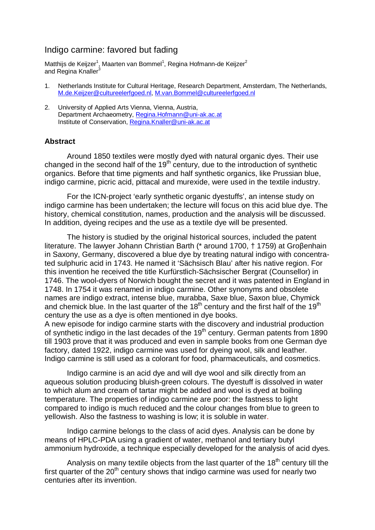## Indigo carmine: favored but fading

Matthijs de Keijzer<sup>1</sup>, Maarten van Bommel<sup>1</sup>, Regina Hofmann-de Keijzer<sup>2</sup> and Regina Knallers

- 1. Netherlands Institute for Cultural Heritage, Research Department, Amsterdam, The Netherlands, M.de.Keijzer@cultureelerfgoed.nl, M.van.Bommel@cultureelerfgoed.nl
- 2. University of Applied Arts Vienna, Vienna, Austria, Department Archaeometry, Regina.Hofmann@uni-ak.ac.at Institute of Conservation, Regina.Knaller@uni-ak.ac.at

## **Abstract**

 Around 1850 textiles were mostly dyed with natural organic dyes. Their use changed in the second half of the  $19<sup>th</sup>$  century, due to the introduction of synthetic organics. Before that time pigments and half synthetic organics, like Prussian blue, indigo carmine, picric acid, pittacal and murexide, were used in the textile industry.

 For the ICN-project 'early synthetic organic dyestuffs', an intense study on indigo carmine has been undertaken; the lecture will focus on this acid blue dye. The history, chemical constitution, names, production and the analysis will be discussed. In addition, dyeing recipes and the use as a textile dye will be presented.

 The history is studied by the original historical sources, included the patent literature. The lawyer Johann Christian Barth (\* around 1700, † 1759) at Groβenhain in Saxony, Germany, discovered a blue dye by treating natural indigo with concentrated sulphuric acid in 1743. He named it 'Sächsisch Blau' after his native region. For this invention he received the title Kurfürstlich-Sächsischer Bergrat (Counsellor) in 1746. The wool-dyers of Norwich bought the secret and it was patented in England in 1748. In 1754 it was renamed in indigo carmine. Other synonyms and obsolete names are indigo extract, intense blue, murabba, Saxe blue, Saxon blue, Chymick and chemick blue. In the last quarter of the  $18<sup>th</sup>$  century and the first half of the  $19<sup>th</sup>$ century the use as a dye is often mentioned in dye books.

A new episode for indigo carmine starts with the discovery and industrial production of synthetic indigo in the last decades of the 19<sup>th</sup> century. German patents from 1890 till 1903 prove that it was produced and even in sample books from one German dye factory, dated 1922, indigo carmine was used for dyeing wool, silk and leather. Indigo carmine is still used as a colorant for food, pharmaceuticals, and cosmetics.

 Indigo carmine is an acid dye and will dye wool and silk directly from an aqueous solution producing bluish-green colours. The dyestuff is dissolved in water to which alum and cream of tartar might be added and wool is dyed at boiling temperature. The properties of indigo carmine are poor: the fastness to light compared to indigo is much reduced and the colour changes from blue to green to yellowish. Also the fastness to washing is low; it is soluble in water.

 Indigo carmine belongs to the class of acid dyes. Analysis can be done by means of HPLC-PDA using a gradient of water, methanol and tertiary butyl ammonium hydroxide, a technique especially developed for the analysis of acid dyes.

Analysis on many textile objects from the last quarter of the  $18<sup>th</sup>$  century till the first quarter of the  $20<sup>th</sup>$  century shows that indigo carmine was used for nearly two centuries after its invention.